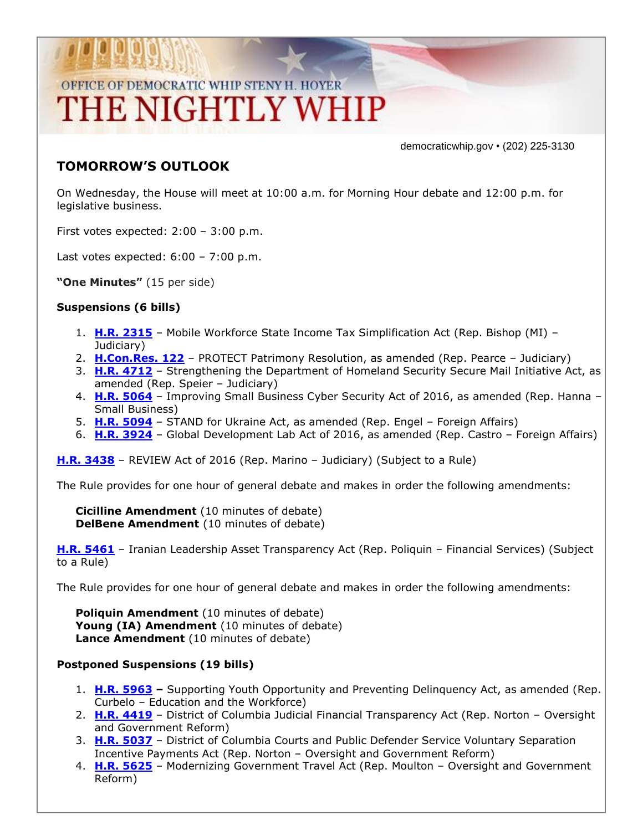# OFFICE OF DEMOCRATIC WHIP STENY H. HOYER THE NIGHTLY WHIP

democraticwhip.gov • (202) 225-3130

### **TOMORROW'S OUTLOOK**

On Wednesday, the House will meet at 10:00 a.m. for Morning Hour debate and 12:00 p.m. for legislative business.

First votes expected: 2:00 – 3:00 p.m.

Last votes expected:  $6:00 - 7:00$  p.m.

**"One Minutes"** (15 per side)

### **Suspensions (6 bills)**

- 1. **[H.R. 2315](http://thomas.loc.gov/cgi-bin/bdquery/z?d114:HR2315:/)** Mobile Workforce State Income Tax Simplification Act (Rep. Bishop (MI) Judiciary)
- 2. **[H.Con.Res. 122](http://thomas.loc.gov/cgi-bin/bdquery/z?d114:HConRes122:/)** PROTECT Patrimony Resolution, as amended (Rep. Pearce Judiciary)
- 3. **[H.R. 4712](http://thomas.loc.gov/cgi-bin/bdquery/z?d114:HR4712:/)** Strengthening the Department of Homeland Security Secure Mail Initiative Act, as amended (Rep. Speier – Judiciary)
- 4. **[H.R. 5064](http://thomas.loc.gov/cgi-bin/bdquery/z?d114:HR5064:/)** Improving Small Business Cyber Security Act of 2016, as amended (Rep. Hanna Small Business)
- 5. **[H.R. 5094](http://thomas.loc.gov/cgi-bin/bdquery/z?d114:HR5094:/)** STAND for Ukraine Act, as amended (Rep. Engel Foreign Affairs)
- 6. **[H.R. 3924](http://thomas.loc.gov/cgi-bin/bdquery/z?d114:HR3924:/)** Global Development Lab Act of 2016, as amended (Rep. Castro Foreign Affairs)

**[H.R. 3438](http://thomas.loc.gov/cgi-bin/bdquery/z?d114:HR3438:/)** – REVIEW Act of 2016 (Rep. Marino – Judiciary) (Subject to a Rule)

The Rule provides for one hour of general debate and makes in order the following amendments:

**Cicilline Amendment** (10 minutes of debate) **DelBene Amendment** (10 minutes of debate)

**[H.R. 5461](http://thomas.loc.gov/cgi-bin/bdquery/z?d114:HR5461:/)** – Iranian Leadership Asset Transparency Act (Rep. Poliquin – Financial Services) (Subject to a Rule)

The Rule provides for one hour of general debate and makes in order the following amendments:

**Poliquin Amendment** (10 minutes of debate) **Young (IA) Amendment** (10 minutes of debate) **Lance Amendment** (10 minutes of debate)

#### **Postponed Suspensions (19 bills)**

- 1. **[H.R. 5963](http://thomas.loc.gov/cgi-bin/bdquery/z?d114:HR5963:/) –** Supporting Youth Opportunity and Preventing Delinquency Act, as amended (Rep. Curbelo – Education and the Workforce)
- 2. **[H.R. 4419](http://thomas.loc.gov/cgi-bin/bdquery/z?d114:HR4419:/)** District of Columbia Judicial Financial Transparency Act (Rep. Norton Oversight and Government Reform)
- 3. **[H.R. 5037](http://thomas.loc.gov/cgi-bin/bdquery/z?d114:HR5037:/)** District of Columbia Courts and Public Defender Service Voluntary Separation Incentive Payments Act (Rep. Norton – Oversight and Government Reform)
- 4. **[H.R. 5625](http://thomas.loc.gov/cgi-bin/bdquery/z?d114:HR5625:/)** Modernizing Government Travel Act (Rep. Moulton Oversight and Government Reform)